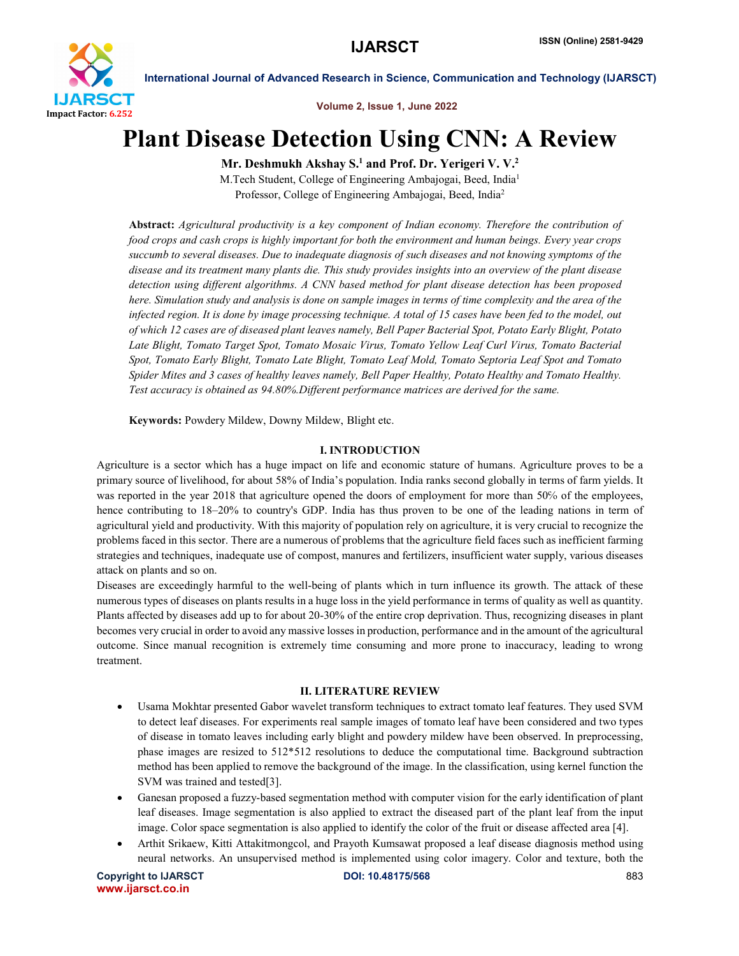

Volume 2, Issue 1, June 2022

# Plant Disease Detection Using CNN: A Review

Mr. Deshmukh Akshay S.<sup>1</sup> and Prof. Dr. Yerigeri V. V.<sup>2</sup>

M.Tech Student, College of Engineering Ambajogai, Beed, India1 Professor, College of Engineering Ambajogai, Beed, India2

Abstract: *Agricultural productivity is a key component of Indian economy. Therefore the contribution of food crops and cash crops is highly important for both the environment and human beings. Every year crops succumb to several diseases. Due to inadequate diagnosis of such diseases and not knowing symptoms of the disease and its treatment many plants die. This study provides insights into an overview of the plant disease detection using different algorithms. A CNN based method for plant disease detection has been proposed here. Simulation study and analysis is done on sample images in terms of time complexity and the area of the infected region. It is done by image processing technique. A total of 15 cases have been fed to the model, out of which 12 cases are of diseased plant leaves namely, Bell Paper Bacterial Spot, Potato Early Blight, Potato Late Blight, Tomato Target Spot, Tomato Mosaic Virus, Tomato Yellow Leaf Curl Virus, Tomato Bacterial Spot, Tomato Early Blight, Tomato Late Blight, Tomato Leaf Mold, Tomato Septoria Leaf Spot and Tomato Spider Mites and 3 cases of healthy leaves namely, Bell Paper Healthy, Potato Healthy and Tomato Healthy. Test accuracy is obtained as 94.80%.Different performance matrices are derived for the same.*

Keywords: Powdery Mildew, Downy Mildew, Blight etc.

#### I. INTRODUCTION

Agriculture is a sector which has a huge impact on life and economic stature of humans. Agriculture proves to be a primary source of livelihood, for about 58% of India's population. India ranks second globally in terms of farm yields. It was reported in the year 2018 that agriculture opened the doors of employment for more than 50% of the employees, hence contributing to 18–20% to country's GDP. India has thus proven to be one of the leading nations in term of agricultural yield and productivity. With this majority of population rely on agriculture, it is very crucial to recognize the problems faced in this sector. There are a numerous of problems that the agriculture field faces such as inefficient farming strategies and techniques, inadequate use of compost, manures and fertilizers, insufficient water supply, various diseases attack on plants and so on.

Diseases are exceedingly harmful to the well-being of plants which in turn influence its growth. The attack of these numerous types of diseases on plants results in a huge loss in the yield performance in terms of quality as well as quantity. Plants affected by diseases add up to for about 20-30% of the entire crop deprivation. Thus, recognizing diseases in plant becomes very crucial in order to avoid any massive losses in production, performance and in the amount of the agricultural outcome. Since manual recognition is extremely time consuming and more prone to inaccuracy, leading to wrong treatment.

#### II. LITERATURE REVIEW

- Usama Mokhtar presented Gabor wavelet transform techniques to extract tomato leaf features. They used SVM to detect leaf diseases. For experiments real sample images of tomato leaf have been considered and two types of disease in tomato leaves including early blight and powdery mildew have been observed. In preprocessing, phase images are resized to 512\*512 resolutions to deduce the computational time. Background subtraction method has been applied to remove the background of the image. In the classification, using kernel function the SVM was trained and tested[3].
- Ganesan proposed a fuzzy-based segmentation method with computer vision for the early identification of plant leaf diseases. Image segmentation is also applied to extract the diseased part of the plant leaf from the input image. Color space segmentation is also applied to identify the color of the fruit or disease affected area [4].
- Arthit Srikaew, Kitti Attakitmongcol, and Prayoth Kumsawat proposed a leaf disease diagnosis method using neural networks. An unsupervised method is implemented using color imagery. Color and texture, both the

Copyright to IJARSCT **DOI: 10.48175/568** 883 www.ijarsct.co.in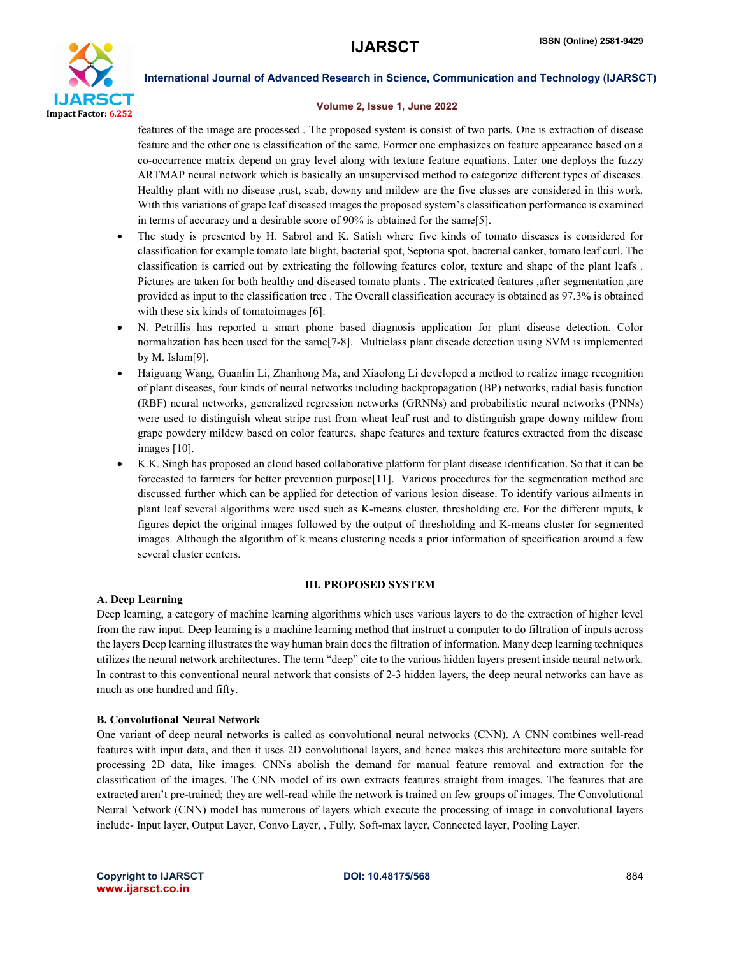

#### Volume 2, Issue 1, June 2022

features of the image are processed . The proposed system is consist of two parts. One is extraction of disease feature and the other one is classification of the same. Former one emphasizes on feature appearance based on a co-occurrence matrix depend on gray level along with texture feature equations. Later one deploys the fuzzy ARTMAP neural network which is basically an unsupervised method to categorize different types of diseases. Healthy plant with no disease ,rust, scab, downy and mildew are the five classes are considered in this work. With this variations of grape leaf diseased images the proposed system's classification performance is examined in terms of accuracy and a desirable score of 90% is obtained for the same[5].

- The study is presented by H. Sabrol and K. Satish where five kinds of tomato diseases is considered for classification for example tomato late blight, bacterial spot, Septoria spot, bacterial canker, tomato leaf curl. The classification is carried out by extricating the following features color, texture and shape of the plant leafs . Pictures are taken for both healthy and diseased tomato plants . The extricated features ,after segmentation ,are provided as input to the classification tree . The Overall classification accuracy is obtained as 97.3% is obtained with these six kinds of tomatoimages [6].
- N. Petrillis has reported a smart phone based diagnosis application for plant disease detection. Color normalization has been used for the same[7-8]. Multiclass plant diseade detection using SVM is implemented by M. Islam[9].
- Haiguang Wang, Guanlin Li, Zhanhong Ma, and Xiaolong Li developed a method to realize image recognition of plant diseases, four kinds of neural networks including backpropagation (BP) networks, radial basis function (RBF) neural networks, generalized regression networks (GRNNs) and probabilistic neural networks (PNNs) were used to distinguish wheat stripe rust from wheat leaf rust and to distinguish grape downy mildew from grape powdery mildew based on color features, shape features and texture features extracted from the disease images [10].
- K.K. Singh has proposed an cloud based collaborative platform for plant disease identification. So that it can be forecasted to farmers for better prevention purpose[11]. Various procedures for the segmentation method are discussed further which can be applied for detection of various lesion disease. To identify various ailments in plant leaf several algorithms were used such as K-means cluster, thresholding etc. For the different inputs, k figures depict the original images followed by the output of thresholding and K-means cluster for segmented images. Although the algorithm of k means clustering needs a prior information of specification around a few several cluster centers.

#### III. PROPOSED SYSTEM

#### A. Deep Learning

Deep learning, a category of machine learning algorithms which uses various layers to do the extraction of higher level from the raw input. Deep learning is a machine learning method that instruct a computer to do filtration of inputs across the layers Deep learning illustrates the way human brain does the filtration of information. Many deep learning techniques utilizes the neural network architectures. The term "deep" cite to the various hidden layers present inside neural network. In contrast to this conventional neural network that consists of 2-3 hidden layers, the deep neural networks can have as much as one hundred and fifty.

#### B. Convolutional Neural Network

One variant of deep neural networks is called as convolutional neural networks (CNN). A CNN combines well-read features with input data, and then it uses 2D convolutional layers, and hence makes this architecture more suitable for processing 2D data, like images. CNNs abolish the demand for manual feature removal and extraction for the classification of the images. The CNN model of its own extracts features straight from images. The features that are extracted aren't pre-trained; they are well-read while the network is trained on few groups of images. The Convolutional Neural Network (CNN) model has numerous of layers which execute the processing of image in convolutional layers include- Input layer, Output Layer, Convo Layer, , Fully, Soft-max layer, Connected layer, Pooling Layer.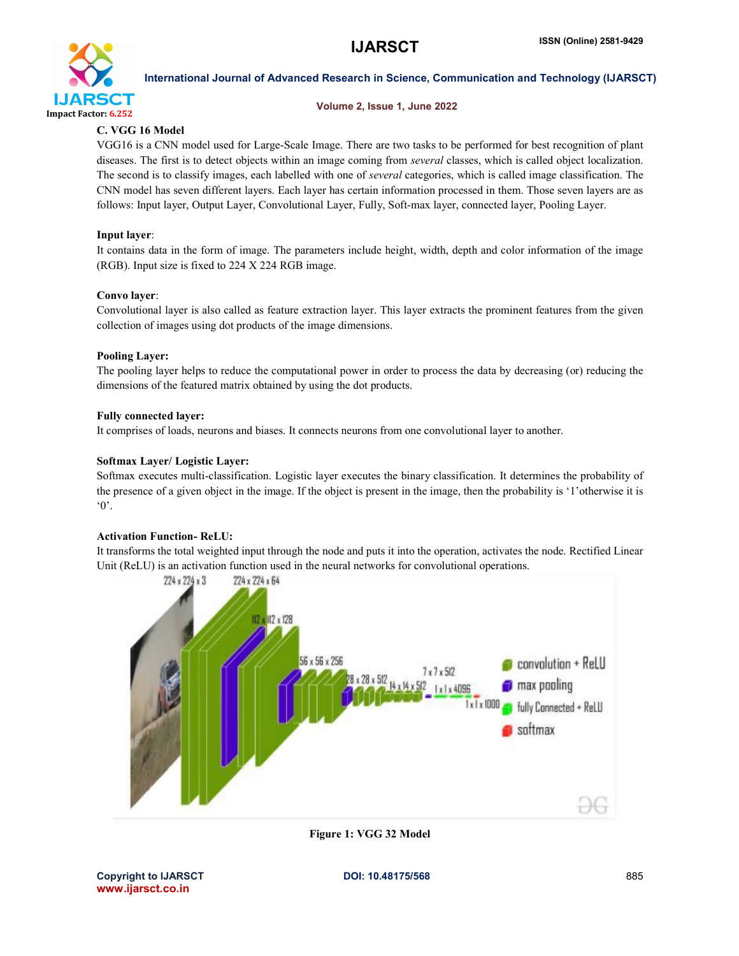

#### Volume 2, Issue 1, June 2022

### C. VGG 16 Model

VGG16 is a CNN model used for Large-Scale Image. There are two tasks to be performed for best recognition of plant diseases. The first is to detect objects within an image coming from *several* classes, which is called object localization. The second is to classify images, each labelled with one of *several* categories, which is called image classification. The CNN model has seven different layers. Each layer has certain information processed in them. Those seven layers are as follows: Input layer, Output Layer, Convolutional Layer, Fully, Soft-max layer, connected layer, Pooling Layer.

#### Input layer:

It contains data in the form of image. The parameters include height, width, depth and color information of the image (RGB). Input size is fixed to 224 X 224 RGB image.

#### Convo layer:

Convolutional layer is also called as feature extraction layer. This layer extracts the prominent features from the given collection of images using dot products of the image dimensions.

#### Pooling Layer:

The pooling layer helps to reduce the computational power in order to process the data by decreasing (or) reducing the dimensions of the featured matrix obtained by using the dot products.

#### Fully connected layer:

It comprises of loads, neurons and biases. It connects neurons from one convolutional layer to another.

#### Softmax Layer/ Logistic Layer:

Softmax executes multi-classification. Logistic layer executes the binary classification. It determines the probability of the presence of a given object in the image. If the object is present in the image, then the probability is '1'otherwise it is '0'.

#### Activation Function- ReLU:

It transforms the total weighted input through the node and puts it into the operation, activates the node. Rectified Linear Unit (ReLU) is an activation function used in the neural networks for convolutional operations.



Figure 1: VGG 32 Model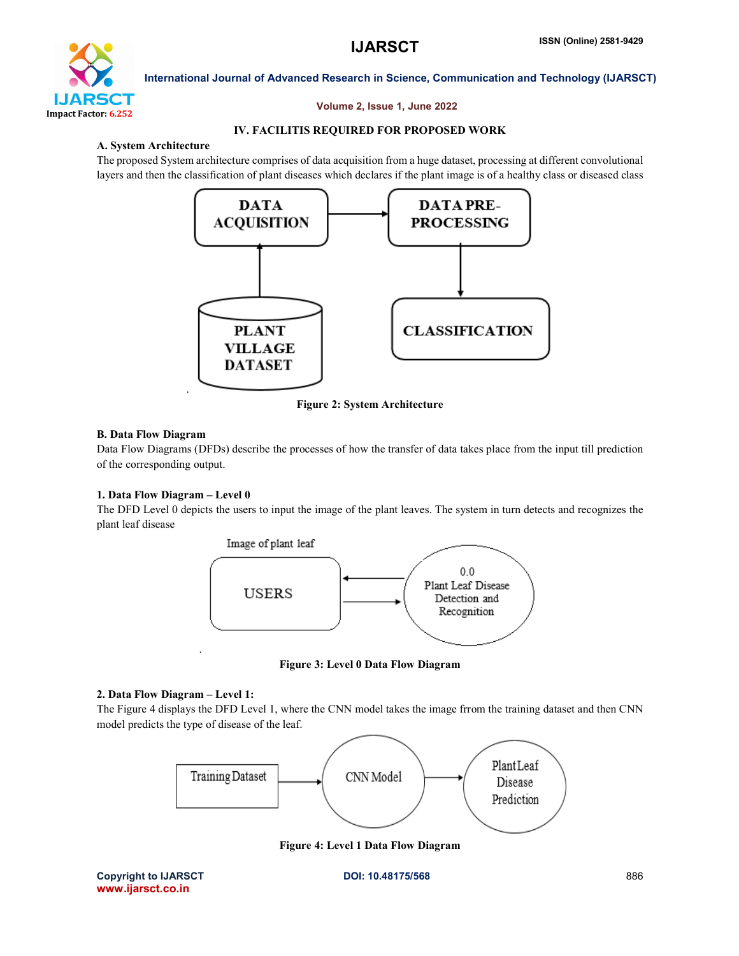

#### Volume 2, Issue 1, June 2022

### IV. FACILITIS REQUIRED FOR PROPOSED WORK

#### A. System Architecture

The proposed System architecture comprises of data acquisition from a huge dataset, processing at different convolutional layers and then the classification of plant diseases which declares if the plant image is of a healthy class or diseased class



Figure 2: System Architecture

#### B. Data Flow Diagram

Data Flow Diagrams (DFDs) describe the processes of how the transfer of data takes place from the input till prediction of the corresponding output.

#### 1. Data Flow Diagram – Level 0

The DFD Level 0 depicts the users to input the image of the plant leaves. The system in turn detects and recognizes the plant leaf disease



Figure 3: Level 0 Data Flow Diagram

#### 2. Data Flow Diagram – Level 1:

The Figure 4 displays the DFD Level 1, where the CNN model takes the image frrom the training dataset and then CNN model predicts the type of disease of the leaf.



Figure 4: Level 1 Data Flow Diagram

Copyright to IJARSCT **DOI: 10.48175/568** 886 www.ijarsct.co.in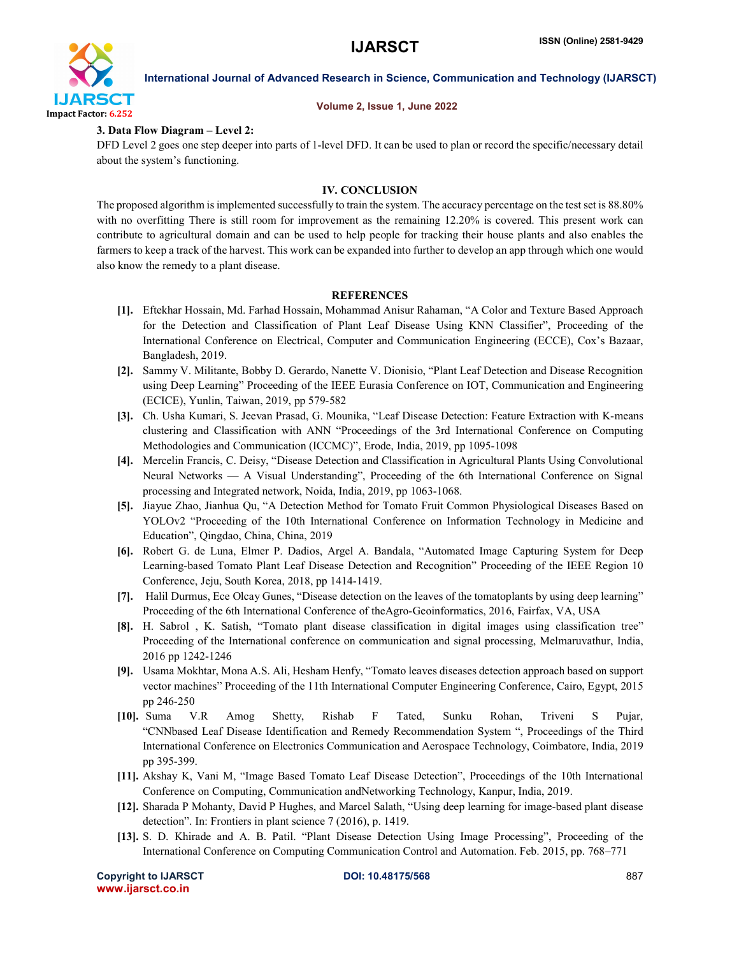

## Volume 2, Issue 1, June 2022

International Journal of Advanced Research in Science, Communication and Technology (IJARSCT)

#### 3. Data Flow Diagram – Level 2:

DFD Level 2 goes one step deeper into parts of 1-level DFD. It can be used to plan or record the specific/necessary detail about the system's functioning.

#### IV. CONCLUSION

The proposed algorithm is implemented successfully to train the system. The accuracy percentage on the test set is 88.80% with no overfitting There is still room for improvement as the remaining 12.20% is covered. This present work can contribute to agricultural domain and can be used to help people for tracking their house plants and also enables the farmers to keep a track of the harvest. This work can be expanded into further to develop an app through which one would also know the remedy to a plant disease.

#### **REFERENCES**

- [1]. Eftekhar Hossain, Md. Farhad Hossain, Mohammad Anisur Rahaman, "A Color and Texture Based Approach for the Detection and Classification of Plant Leaf Disease Using KNN Classifier", Proceeding of the International Conference on Electrical, Computer and Communication Engineering (ECCE), Cox's Bazaar, Bangladesh, 2019.
- [2]. Sammy V. Militante, Bobby D. Gerardo, Nanette V. Dionisio, "Plant Leaf Detection and Disease Recognition using Deep Learning" Proceeding of the IEEE Eurasia Conference on IOT, Communication and Engineering (ECICE), Yunlin, Taiwan, 2019, pp 579-582
- [3]. Ch. Usha Kumari, S. Jeevan Prasad, G. Mounika, "Leaf Disease Detection: Feature Extraction with K-means clustering and Classification with ANN "Proceedings of the 3rd International Conference on Computing Methodologies and Communication (ICCMC)", Erode, India, 2019, pp 1095-1098
- [4]. Mercelin Francis, C. Deisy, "Disease Detection and Classification in Agricultural Plants Using Convolutional Neural Networks — A Visual Understanding", Proceeding of the 6th International Conference on Signal processing and Integrated network, Noida, India, 2019, pp 1063-1068.
- [5]. Jiayue Zhao, Jianhua Qu, "A Detection Method for Tomato Fruit Common Physiological Diseases Based on YOLOv2 "Proceeding of the 10th International Conference on Information Technology in Medicine and Education", Qingdao, China, China, 2019
- [6]. Robert G. de Luna, Elmer P. Dadios, Argel A. Bandala, "Automated Image Capturing System for Deep Learning-based Tomato Plant Leaf Disease Detection and Recognition" Proceeding of the IEEE Region 10 Conference, Jeju, South Korea, 2018, pp 1414-1419.
- [7]. Halil Durmus, Ece Olcay Gunes, "Disease detection on the leaves of the tomatoplants by using deep learning" Proceeding of the 6th International Conference of theAgro-Geoinformatics, 2016, Fairfax, VA, USA
- [8]. H. Sabrol , K. Satish, "Tomato plant disease classification in digital images using classification tree" Proceeding of the International conference on communication and signal processing, Melmaruvathur, India, 2016 pp 1242-1246
- [9]. Usama Mokhtar, Mona A.S. Ali, Hesham Henfy, "Tomato leaves diseases detection approach based on support vector machines" Proceeding of the 11th International Computer Engineering Conference, Cairo, Egypt, 2015 pp 246-250
- [10]. Suma V.R Amog Shetty, Rishab F Tated, Sunku Rohan, Triveni S Pujar, "CNNbased Leaf Disease Identification and Remedy Recommendation System ", Proceedings of the Third International Conference on Electronics Communication and Aerospace Technology, Coimbatore, India, 2019 pp 395-399.
- [11]. Akshay K, Vani M, "Image Based Tomato Leaf Disease Detection", Proceedings of the 10th International Conference on Computing, Communication andNetworking Technology, Kanpur, India, 2019.
- [12]. Sharada P Mohanty, David P Hughes, and Marcel Salath, "Using deep learning for image-based plant disease detection". In: Frontiers in plant science 7 (2016), p. 1419.
- [13]. S. D. Khirade and A. B. Patil. "Plant Disease Detection Using Image Processing", Proceeding of the International Conference on Computing Communication Control and Automation. Feb. 2015, pp. 768–771